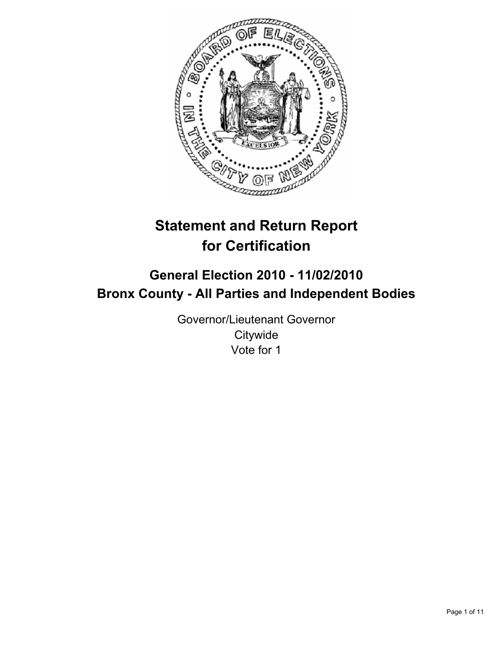

# **Statement and Return Report for Certification**

## **General Election 2010 - 11/02/2010 Bronx County - All Parties and Independent Bodies**

Governor/Lieutenant Governor **Citywide** Vote for 1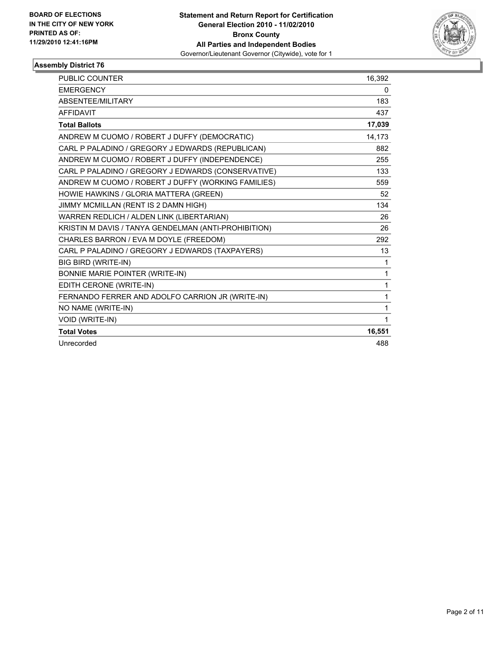

| <b>PUBLIC COUNTER</b>                                | 16,392 |
|------------------------------------------------------|--------|
| <b>EMERGENCY</b>                                     | 0      |
| ABSENTEE/MILITARY                                    | 183    |
| <b>AFFIDAVIT</b>                                     | 437    |
| <b>Total Ballots</b>                                 | 17,039 |
| ANDREW M CUOMO / ROBERT J DUFFY (DEMOCRATIC)         | 14,173 |
| CARL P PALADINO / GREGORY J EDWARDS (REPUBLICAN)     | 882    |
| ANDREW M CUOMO / ROBERT J DUFFY (INDEPENDENCE)       | 255    |
| CARL P PALADINO / GREGORY J EDWARDS (CONSERVATIVE)   | 133    |
| ANDREW M CUOMO / ROBERT J DUFFY (WORKING FAMILIES)   | 559    |
| HOWIE HAWKINS / GLORIA MATTERA (GREEN)               | 52     |
| JIMMY MCMILLAN (RENT IS 2 DAMN HIGH)                 | 134    |
| WARREN REDLICH / ALDEN LINK (LIBERTARIAN)            | 26     |
| KRISTIN M DAVIS / TANYA GENDELMAN (ANTI-PROHIBITION) | 26     |
| CHARLES BARRON / EVA M DOYLE (FREEDOM)               | 292    |
| CARL P PALADINO / GREGORY J EDWARDS (TAXPAYERS)      | 13     |
| <b>BIG BIRD (WRITE-IN)</b>                           | 1      |
| BONNIE MARIE POINTER (WRITE-IN)                      | 1      |
| EDITH CERONE (WRITE-IN)                              | 1      |
| FERNANDO FERRER AND ADOLFO CARRION JR (WRITE-IN)     | 1      |
| NO NAME (WRITE-IN)                                   | 1      |
| VOID (WRITE-IN)                                      | 1      |
| <b>Total Votes</b>                                   | 16,551 |
| Unrecorded                                           | 488    |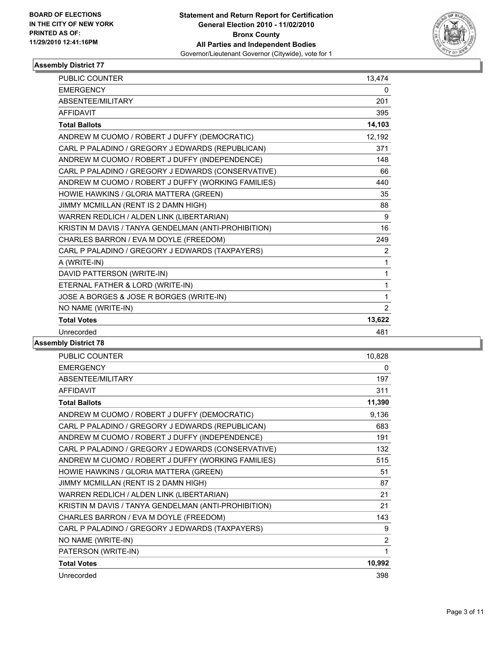

| <b>PUBLIC COUNTER</b>                                | 13,474         |
|------------------------------------------------------|----------------|
| <b>EMERGENCY</b>                                     | 0              |
| ABSENTEE/MILITARY                                    | 201            |
| <b>AFFIDAVIT</b>                                     | 395            |
| <b>Total Ballots</b>                                 | 14,103         |
| ANDREW M CUOMO / ROBERT J DUFFY (DEMOCRATIC)         | 12,192         |
| CARL P PALADINO / GREGORY J EDWARDS (REPUBLICAN)     | 371            |
| ANDREW M CUOMO / ROBERT J DUFFY (INDEPENDENCE)       | 148            |
| CARL P PALADINO / GREGORY J EDWARDS (CONSERVATIVE)   | 66             |
| ANDREW M CUOMO / ROBERT J DUFFY (WORKING FAMILIES)   | 440            |
| HOWIE HAWKINS / GLORIA MATTERA (GREEN)               | 35             |
| JIMMY MCMILLAN (RENT IS 2 DAMN HIGH)                 | 88             |
| WARREN REDLICH / ALDEN LINK (LIBERTARIAN)            | 9              |
| KRISTIN M DAVIS / TANYA GENDELMAN (ANTI-PROHIBITION) | 16             |
| CHARLES BARRON / EVA M DOYLE (FREEDOM)               | 249            |
| CARL P PALADINO / GREGORY J EDWARDS (TAXPAYERS)      | $\overline{2}$ |
| A (WRITE-IN)                                         | $\mathbf{1}$   |
| DAVID PATTERSON (WRITE-IN)                           | 1              |
| ETERNAL FATHER & LORD (WRITE-IN)                     | 1              |
| JOSE A BORGES & JOSE R BORGES (WRITE-IN)             | 1              |
| NO NAME (WRITE-IN)                                   | $\overline{2}$ |
| <b>Total Votes</b>                                   | 13,622         |
| Unrecorded                                           | 481            |
|                                                      |                |

| PUBLIC COUNTER                                       | 10,828         |
|------------------------------------------------------|----------------|
| <b>EMERGENCY</b>                                     | 0              |
| ABSENTEE/MILITARY                                    | 197            |
| <b>AFFIDAVIT</b>                                     | 311            |
| <b>Total Ballots</b>                                 | 11,390         |
| ANDREW M CUOMO / ROBERT J DUFFY (DEMOCRATIC)         | 9,136          |
| CARL P PALADINO / GREGORY J EDWARDS (REPUBLICAN)     | 683            |
| ANDREW M CUOMO / ROBERT J DUFFY (INDEPENDENCE)       | 191            |
| CARL P PALADINO / GREGORY J EDWARDS (CONSERVATIVE)   | 132            |
| ANDREW M CUOMO / ROBERT J DUFFY (WORKING FAMILIES)   | 515            |
| HOWIE HAWKINS / GLORIA MATTERA (GREEN)               | 51             |
| JIMMY MCMILLAN (RENT IS 2 DAMN HIGH)                 | 87             |
| WARREN REDLICH / ALDEN LINK (LIBERTARIAN)            | 21             |
| KRISTIN M DAVIS / TANYA GENDELMAN (ANTI-PROHIBITION) | 21             |
| CHARLES BARRON / EVA M DOYLE (FREEDOM)               | 143            |
| CARL P PALADINO / GREGORY J EDWARDS (TAXPAYERS)      | 9              |
| NO NAME (WRITE-IN)                                   | $\overline{2}$ |
| PATERSON (WRITE-IN)                                  | 1              |
| <b>Total Votes</b>                                   | 10,992         |
| Unrecorded                                           | 398            |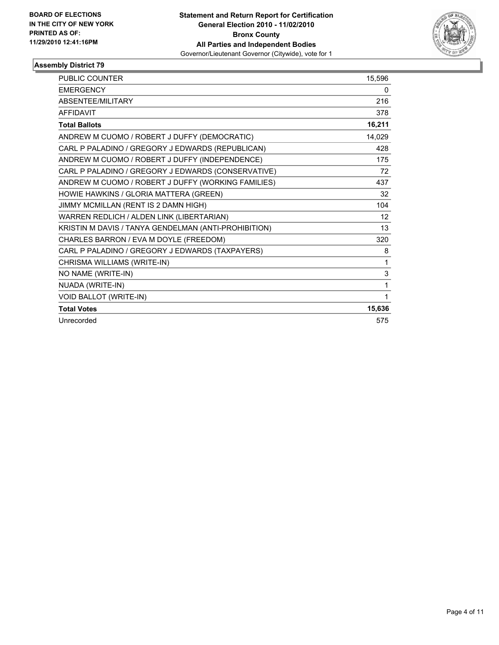

| <b>PUBLIC COUNTER</b>                                | 15,596 |
|------------------------------------------------------|--------|
| <b>EMERGENCY</b>                                     | 0      |
| ABSENTEE/MILITARY                                    | 216    |
| <b>AFFIDAVIT</b>                                     | 378    |
| <b>Total Ballots</b>                                 | 16,211 |
| ANDREW M CUOMO / ROBERT J DUFFY (DEMOCRATIC)         | 14,029 |
| CARL P PALADINO / GREGORY J EDWARDS (REPUBLICAN)     | 428    |
| ANDREW M CUOMO / ROBERT J DUFFY (INDEPENDENCE)       | 175    |
| CARL P PALADINO / GREGORY J EDWARDS (CONSERVATIVE)   | 72     |
| ANDREW M CUOMO / ROBERT J DUFFY (WORKING FAMILIES)   | 437    |
| HOWIE HAWKINS / GLORIA MATTERA (GREEN)               | 32     |
| JIMMY MCMILLAN (RENT IS 2 DAMN HIGH)                 | 104    |
| WARREN REDLICH / ALDEN LINK (LIBERTARIAN)            | 12     |
| KRISTIN M DAVIS / TANYA GENDELMAN (ANTI-PROHIBITION) | 13     |
| CHARLES BARRON / EVA M DOYLE (FREEDOM)               | 320    |
| CARL P PALADINO / GREGORY J EDWARDS (TAXPAYERS)      | 8      |
| CHRISMA WILLIAMS (WRITE-IN)                          | 1      |
| NO NAME (WRITE-IN)                                   | 3      |
| NUADA (WRITE-IN)                                     | 1      |
| <b>VOID BALLOT (WRITE-IN)</b>                        | 1      |
| <b>Total Votes</b>                                   | 15,636 |
| Unrecorded                                           | 575    |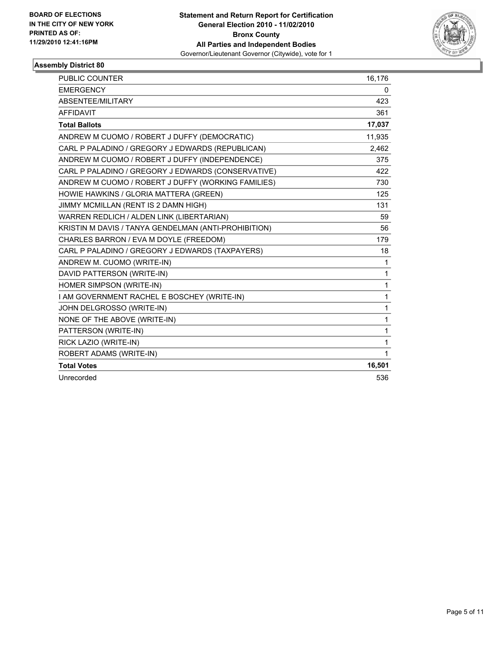

| PUBLIC COUNTER                                       | 16,176 |
|------------------------------------------------------|--------|
| <b>EMERGENCY</b>                                     | 0      |
| ABSENTEE/MILITARY                                    | 423    |
| <b>AFFIDAVIT</b>                                     | 361    |
| <b>Total Ballots</b>                                 | 17,037 |
| ANDREW M CUOMO / ROBERT J DUFFY (DEMOCRATIC)         | 11,935 |
| CARL P PALADINO / GREGORY J EDWARDS (REPUBLICAN)     | 2,462  |
| ANDREW M CUOMO / ROBERT J DUFFY (INDEPENDENCE)       | 375    |
| CARL P PALADINO / GREGORY J EDWARDS (CONSERVATIVE)   | 422    |
| ANDREW M CUOMO / ROBERT J DUFFY (WORKING FAMILIES)   | 730    |
| HOWIE HAWKINS / GLORIA MATTERA (GREEN)               | 125    |
| JIMMY MCMILLAN (RENT IS 2 DAMN HIGH)                 | 131    |
| WARREN REDLICH / ALDEN LINK (LIBERTARIAN)            | 59     |
| KRISTIN M DAVIS / TANYA GENDELMAN (ANTI-PROHIBITION) | 56     |
| CHARLES BARRON / EVA M DOYLE (FREEDOM)               | 179    |
| CARL P PALADINO / GREGORY J EDWARDS (TAXPAYERS)      | 18     |
| ANDREW M. CUOMO (WRITE-IN)                           | 1      |
| DAVID PATTERSON (WRITE-IN)                           | 1      |
| HOMER SIMPSON (WRITE-IN)                             | 1      |
| I AM GOVERNMENT RACHEL E BOSCHEY (WRITE-IN)          | 1      |
| JOHN DELGROSSO (WRITE-IN)                            | 1      |
| NONE OF THE ABOVE (WRITE-IN)                         | 1      |
| PATTERSON (WRITE-IN)                                 | 1      |
| RICK LAZIO (WRITE-IN)                                | 1      |
| ROBERT ADAMS (WRITE-IN)                              | 1      |
| <b>Total Votes</b>                                   | 16,501 |
| Unrecorded                                           | 536    |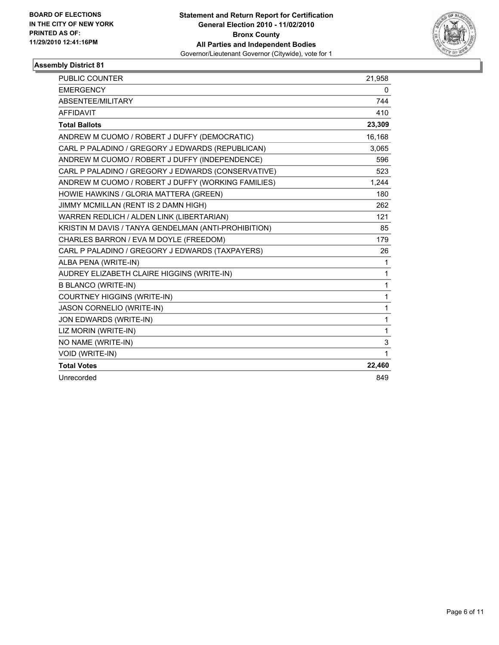

| PUBLIC COUNTER                                       | 21,958 |
|------------------------------------------------------|--------|
| <b>EMERGENCY</b>                                     | 0      |
| ABSENTEE/MILITARY                                    | 744    |
| <b>AFFIDAVIT</b>                                     | 410    |
| <b>Total Ballots</b>                                 | 23,309 |
| ANDREW M CUOMO / ROBERT J DUFFY (DEMOCRATIC)         | 16,168 |
| CARL P PALADINO / GREGORY J EDWARDS (REPUBLICAN)     | 3,065  |
| ANDREW M CUOMO / ROBERT J DUFFY (INDEPENDENCE)       | 596    |
| CARL P PALADINO / GREGORY J EDWARDS (CONSERVATIVE)   | 523    |
| ANDREW M CUOMO / ROBERT J DUFFY (WORKING FAMILIES)   | 1,244  |
| HOWIE HAWKINS / GLORIA MATTERA (GREEN)               | 180    |
| JIMMY MCMILLAN (RENT IS 2 DAMN HIGH)                 | 262    |
| WARREN REDLICH / ALDEN LINK (LIBERTARIAN)            | 121    |
| KRISTIN M DAVIS / TANYA GENDELMAN (ANTI-PROHIBITION) | 85     |
| CHARLES BARRON / EVA M DOYLE (FREEDOM)               | 179    |
| CARL P PALADINO / GREGORY J EDWARDS (TAXPAYERS)      | 26     |
| ALBA PENA (WRITE-IN)                                 | 1      |
| AUDREY ELIZABETH CLAIRE HIGGINS (WRITE-IN)           | 1      |
| <b>B BLANCO (WRITE-IN)</b>                           | 1      |
| <b>COURTNEY HIGGINS (WRITE-IN)</b>                   | 1      |
| JASON CORNELIO (WRITE-IN)                            | 1      |
| JON EDWARDS (WRITE-IN)                               | 1      |
| LIZ MORIN (WRITE-IN)                                 | 1      |
| NO NAME (WRITE-IN)                                   | 3      |
| <b>VOID (WRITE-IN)</b>                               | 1      |
| <b>Total Votes</b>                                   | 22,460 |
| Unrecorded                                           | 849    |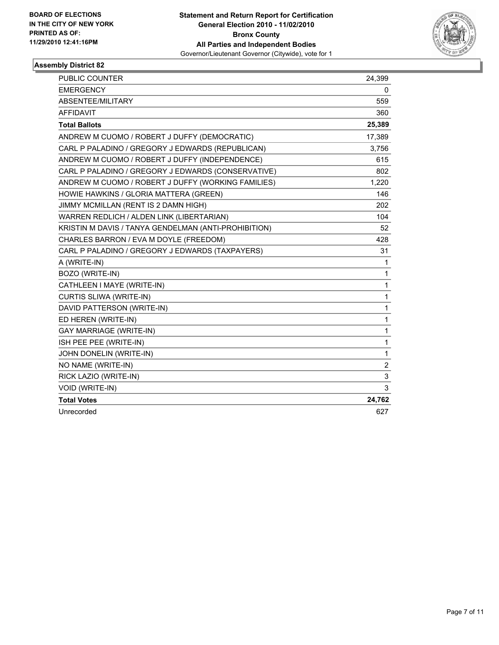

| <b>PUBLIC COUNTER</b>                                | 24,399         |
|------------------------------------------------------|----------------|
| <b>EMERGENCY</b>                                     | 0              |
| ABSENTEE/MILITARY                                    | 559            |
| <b>AFFIDAVIT</b>                                     | 360            |
| <b>Total Ballots</b>                                 | 25,389         |
| ANDREW M CUOMO / ROBERT J DUFFY (DEMOCRATIC)         | 17,389         |
| CARL P PALADINO / GREGORY J EDWARDS (REPUBLICAN)     | 3,756          |
| ANDREW M CUOMO / ROBERT J DUFFY (INDEPENDENCE)       | 615            |
| CARL P PALADINO / GREGORY J EDWARDS (CONSERVATIVE)   | 802            |
| ANDREW M CUOMO / ROBERT J DUFFY (WORKING FAMILIES)   | 1,220          |
| HOWIE HAWKINS / GLORIA MATTERA (GREEN)               | 146            |
| JIMMY MCMILLAN (RENT IS 2 DAMN HIGH)                 | 202            |
| WARREN REDLICH / ALDEN LINK (LIBERTARIAN)            | 104            |
| KRISTIN M DAVIS / TANYA GENDELMAN (ANTI-PROHIBITION) | 52             |
| CHARLES BARRON / EVA M DOYLE (FREEDOM)               | 428            |
| CARL P PALADINO / GREGORY J EDWARDS (TAXPAYERS)      | 31             |
| A (WRITE-IN)                                         | 1              |
| BOZO (WRITE-IN)                                      | 1              |
| CATHLEEN I MAYE (WRITE-IN)                           | 1              |
| <b>CURTIS SLIWA (WRITE-IN)</b>                       | 1              |
| DAVID PATTERSON (WRITE-IN)                           | 1              |
| ED HEREN (WRITE-IN)                                  | 1              |
| <b>GAY MARRIAGE (WRITE-IN)</b>                       | 1              |
| ISH PEE PEE (WRITE-IN)                               | $\mathbf{1}$   |
| JOHN DONELIN (WRITE-IN)                              | $\mathbf 1$    |
| NO NAME (WRITE-IN)                                   | $\overline{2}$ |
| RICK LAZIO (WRITE-IN)                                | 3              |
| VOID (WRITE-IN)                                      | 3              |
| <b>Total Votes</b>                                   | 24,762         |
| Unrecorded                                           | 627            |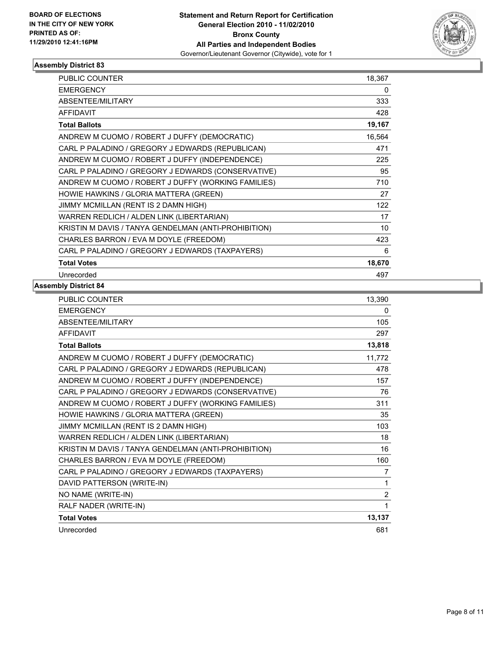

| <b>PUBLIC COUNTER</b>                                | 18,367 |
|------------------------------------------------------|--------|
| <b>EMERGENCY</b>                                     | 0      |
| ABSENTEE/MILITARY                                    | 333    |
| <b>AFFIDAVIT</b>                                     | 428    |
| <b>Total Ballots</b>                                 | 19,167 |
| ANDREW M CUOMO / ROBERT J DUFFY (DEMOCRATIC)         | 16,564 |
| CARL P PALADINO / GREGORY J EDWARDS (REPUBLICAN)     | 471    |
| ANDREW M CUOMO / ROBERT J DUFFY (INDEPENDENCE)       | 225    |
| CARL P PALADINO / GREGORY J EDWARDS (CONSERVATIVE)   | 95     |
| ANDREW M CUOMO / ROBERT J DUFFY (WORKING FAMILIES)   | 710    |
| HOWIE HAWKINS / GLORIA MATTERA (GREEN)               | 27     |
| JIMMY MCMILLAN (RENT IS 2 DAMN HIGH)                 | 122    |
| WARREN REDLICH / ALDEN LINK (LIBERTARIAN)            | 17     |
| KRISTIN M DAVIS / TANYA GENDELMAN (ANTI-PROHIBITION) | 10     |
| CHARLES BARRON / EVA M DOYLE (FREEDOM)               | 423    |
| CARL P PALADINO / GREGORY J EDWARDS (TAXPAYERS)      | 6      |
| <b>Total Votes</b>                                   | 18,670 |
| Unrecorded                                           | 497    |

| PUBLIC COUNTER                                       | 13,390 |
|------------------------------------------------------|--------|
| <b>EMERGENCY</b>                                     | 0      |
| ABSENTEE/MILITARY                                    | 105    |
| <b>AFFIDAVIT</b>                                     | 297    |
| <b>Total Ballots</b>                                 | 13,818 |
| ANDREW M CUOMO / ROBERT J DUFFY (DEMOCRATIC)         | 11,772 |
| CARL P PALADINO / GREGORY J EDWARDS (REPUBLICAN)     | 478    |
| ANDREW M CUOMO / ROBERT J DUFFY (INDEPENDENCE)       | 157    |
| CARL P PALADINO / GREGORY J EDWARDS (CONSERVATIVE)   | 76     |
| ANDREW M CUOMO / ROBERT J DUFFY (WORKING FAMILIES)   | 311    |
| HOWIE HAWKINS / GLORIA MATTERA (GREEN)               | 35     |
| JIMMY MCMILLAN (RENT IS 2 DAMN HIGH)                 | 103    |
| WARREN REDLICH / ALDEN LINK (LIBERTARIAN)            | 18     |
| KRISTIN M DAVIS / TANYA GENDELMAN (ANTI-PROHIBITION) | 16     |
| CHARLES BARRON / EVA M DOYLE (FREEDOM)               | 160    |
| CARL P PALADINO / GREGORY J EDWARDS (TAXPAYERS)      | 7      |
| DAVID PATTERSON (WRITE-IN)                           | 1      |
| NO NAME (WRITE-IN)                                   | 2      |
| RALF NADER (WRITE-IN)                                | 1      |
| <b>Total Votes</b>                                   | 13,137 |
| Unrecorded                                           | 681    |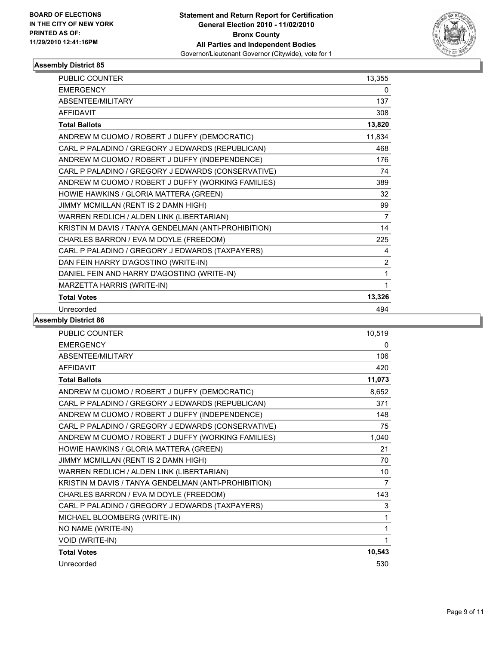

| <b>PUBLIC COUNTER</b>                                | 13,355         |
|------------------------------------------------------|----------------|
| <b>EMERGENCY</b>                                     | 0              |
| ABSENTEE/MILITARY                                    | 137            |
| <b>AFFIDAVIT</b>                                     | 308            |
| <b>Total Ballots</b>                                 | 13,820         |
| ANDREW M CUOMO / ROBERT J DUFFY (DEMOCRATIC)         | 11,834         |
| CARL P PALADINO / GREGORY J EDWARDS (REPUBLICAN)     | 468            |
| ANDREW M CUOMO / ROBERT J DUFFY (INDEPENDENCE)       | 176            |
| CARL P PALADINO / GREGORY J EDWARDS (CONSERVATIVE)   | 74             |
| ANDREW M CUOMO / ROBERT J DUFFY (WORKING FAMILIES)   | 389            |
| HOWIE HAWKINS / GLORIA MATTERA (GREEN)               | 32             |
| JIMMY MCMILLAN (RENT IS 2 DAMN HIGH)                 | 99             |
| WARREN REDLICH / ALDEN LINK (LIBERTARIAN)            | $\overline{7}$ |
| KRISTIN M DAVIS / TANYA GENDELMAN (ANTI-PROHIBITION) | 14             |
| CHARLES BARRON / EVA M DOYLE (FREEDOM)               | 225            |
| CARL P PALADINO / GREGORY J EDWARDS (TAXPAYERS)      | 4              |
| DAN FEIN HARRY D'AGOSTINO (WRITE-IN)                 | $\overline{2}$ |
| DANIEL FEIN AND HARRY D'AGOSTINO (WRITE-IN)          | 1              |
| MARZETTA HARRIS (WRITE-IN)                           | 1              |
| <b>Total Votes</b>                                   | 13,326         |
| Unrecorded                                           | 494            |

| <b>PUBLIC COUNTER</b>                                | 10,519         |
|------------------------------------------------------|----------------|
| <b>EMERGENCY</b>                                     | 0              |
| ABSENTEE/MILITARY                                    | 106            |
| <b>AFFIDAVIT</b>                                     | 420            |
| <b>Total Ballots</b>                                 | 11,073         |
| ANDREW M CUOMO / ROBERT J DUFFY (DEMOCRATIC)         | 8,652          |
| CARL P PALADINO / GREGORY J EDWARDS (REPUBLICAN)     | 371            |
| ANDREW M CUOMO / ROBERT J DUFFY (INDEPENDENCE)       | 148            |
| CARL P PALADINO / GREGORY J EDWARDS (CONSERVATIVE)   | 75             |
| ANDREW M CUOMO / ROBERT J DUFFY (WORKING FAMILIES)   | 1,040          |
| HOWIE HAWKINS / GLORIA MATTERA (GREEN)               | 21             |
| JIMMY MCMILLAN (RENT IS 2 DAMN HIGH)                 | 70             |
| WARREN REDLICH / ALDEN LINK (LIBERTARIAN)            | 10             |
| KRISTIN M DAVIS / TANYA GENDELMAN (ANTI-PROHIBITION) | $\overline{7}$ |
| CHARLES BARRON / EVA M DOYLE (FREEDOM)               | 143            |
| CARL P PALADINO / GREGORY J EDWARDS (TAXPAYERS)      | 3              |
| MICHAEL BLOOMBERG (WRITE-IN)                         | 1              |
| NO NAME (WRITE-IN)                                   | 1              |
| VOID (WRITE-IN)                                      | 1              |
| <b>Total Votes</b>                                   | 10,543         |
| Unrecorded                                           | 530            |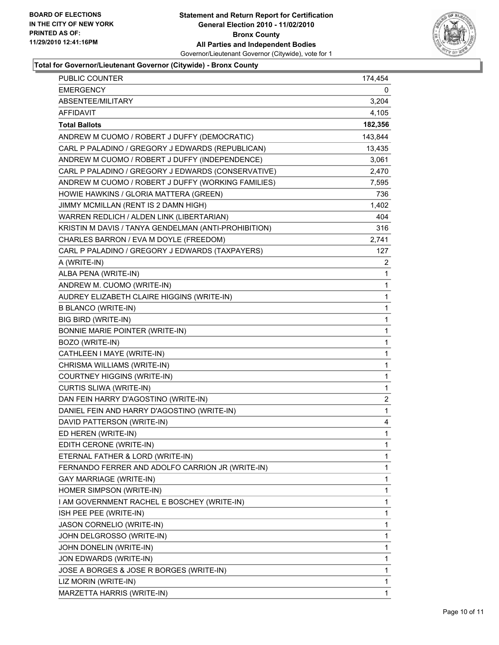

#### **Total for Governor/Lieutenant Governor (Citywide) - Bronx County**

| PUBLIC COUNTER                                       | 174,454      |
|------------------------------------------------------|--------------|
| <b>EMERGENCY</b>                                     | 0            |
| ABSENTEE/MILITARY                                    | 3,204        |
| <b>AFFIDAVIT</b>                                     | 4,105        |
| <b>Total Ballots</b>                                 | 182,356      |
| ANDREW M CUOMO / ROBERT J DUFFY (DEMOCRATIC)         | 143,844      |
| CARL P PALADINO / GREGORY J EDWARDS (REPUBLICAN)     | 13,435       |
| ANDREW M CUOMO / ROBERT J DUFFY (INDEPENDENCE)       | 3,061        |
| CARL P PALADINO / GREGORY J EDWARDS (CONSERVATIVE)   | 2,470        |
| ANDREW M CUOMO / ROBERT J DUFFY (WORKING FAMILIES)   | 7,595        |
| HOWIE HAWKINS / GLORIA MATTERA (GREEN)               | 736          |
| JIMMY MCMILLAN (RENT IS 2 DAMN HIGH)                 | 1,402        |
| WARREN REDLICH / ALDEN LINK (LIBERTARIAN)            | 404          |
| KRISTIN M DAVIS / TANYA GENDELMAN (ANTI-PROHIBITION) | 316          |
| CHARLES BARRON / EVA M DOYLE (FREEDOM)               | 2,741        |
| CARL P PALADINO / GREGORY J EDWARDS (TAXPAYERS)      | 127          |
| A (WRITE-IN)                                         | 2            |
| ALBA PENA (WRITE-IN)                                 | 1            |
| ANDREW M. CUOMO (WRITE-IN)                           | 1            |
| AUDREY ELIZABETH CLAIRE HIGGINS (WRITE-IN)           | 1            |
| <b>B BLANCO (WRITE-IN)</b>                           | $\mathbf{1}$ |
| BIG BIRD (WRITE-IN)                                  | 1            |
| BONNIE MARIE POINTER (WRITE-IN)                      | 1            |
| BOZO (WRITE-IN)                                      | 1            |
| CATHLEEN I MAYE (WRITE-IN)                           | 1            |
| CHRISMA WILLIAMS (WRITE-IN)                          | 1            |
| COURTNEY HIGGINS (WRITE-IN)                          | $\mathbf{1}$ |
| CURTIS SLIWA (WRITE-IN)                              | 1            |
| DAN FEIN HARRY D'AGOSTINO (WRITE-IN)                 | 2            |
| DANIEL FEIN AND HARRY D'AGOSTINO (WRITE-IN)          | 1            |
| DAVID PATTERSON (WRITE-IN)                           | 4            |
| ED HEREN (WRITE-IN)                                  | $\mathbf{1}$ |
| EDITH CERONE (WRITE-IN)                              | 1            |
| ETERNAL FATHER & LORD (WRITE-IN)                     | 1            |
| FERNANDO FERRER AND ADOLFO CARRION JR (WRITE-IN)     | 1            |
| <b>GAY MARRIAGE (WRITE-IN)</b>                       | 1            |
| HOMER SIMPSON (WRITE-IN)                             | 1            |
| I AM GOVERNMENT RACHEL E BOSCHEY (WRITE-IN)          | 1            |
| ISH PEE PEE (WRITE-IN)                               | 1            |
| JASON CORNELIO (WRITE-IN)                            | 1            |
| JOHN DELGROSSO (WRITE-IN)                            | 1            |
| JOHN DONELIN (WRITE-IN)                              | 1            |
| JON EDWARDS (WRITE-IN)                               | 1            |
| JOSE A BORGES & JOSE R BORGES (WRITE-IN)             | 1            |
| LIZ MORIN (WRITE-IN)                                 | 1            |
| MARZETTA HARRIS (WRITE-IN)                           | 1            |